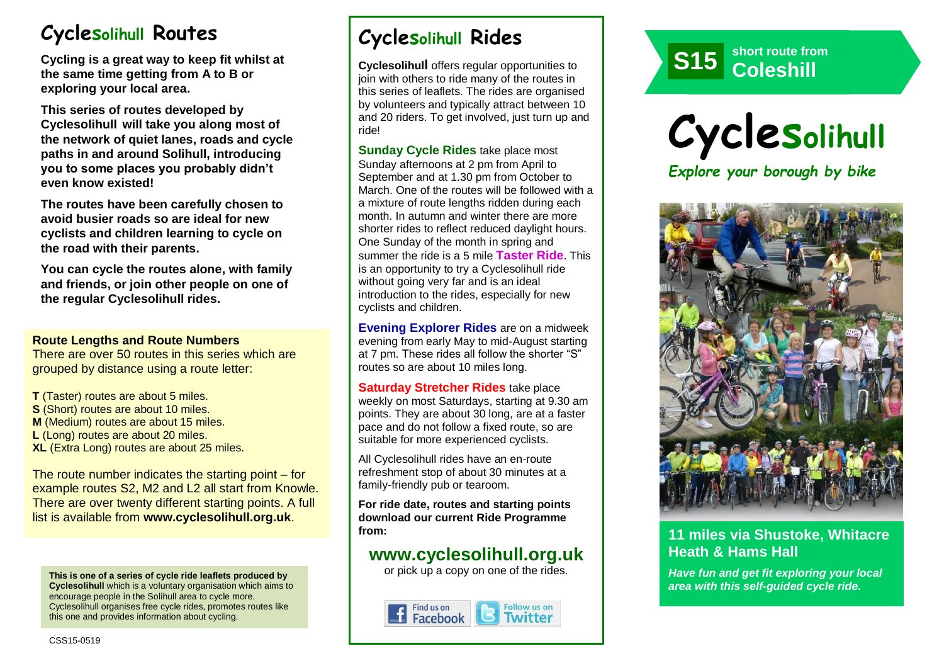# **Cyclesolihull Routes**

**Cycling is a great way to keep fit whilst at the same time getting from A to B or exploring your local area.** 

**This series of routes developed by Cyclesolihull will take you along most of the network of quiet lanes, roads and cycle paths in and around Solihull, introducing you to some places you probably didn't even know existed!**

**The routes have been carefully chosen to avoid busier roads so are ideal for new cyclists and children learning to cycle on the road with their parents.** 

**You can cycle the routes alone, with family and friends, or join other people on one of the regular Cyclesolihull rides.**

#### **Route Lengths and Route Numbers**

There are over 50 routes in this series which are grouped by distance using a route letter:

**T** (Taster) routes are about 5 miles. **S** (Short) routes are about 10 miles. **M** (Medium) routes are about 15 miles. **L** (Long) routes are about 20 miles. **XL** (Extra Long) routes are about 25 miles.

The route number indicates the starting point – for example routes S2, M2 and L2 all start from Knowle. There are over twenty different starting points. A full list is available from **www.cyclesolihull.org.uk**.

**This is one of a series of cycle ride leaflets produced by Cyclesolihull** which is a voluntary organisation which aims to encourage people in the Solihull area to cycle more. Cyclesolihull organises free cycle rides, promotes routes like this one and provides information about cycling.

# **Cyclesolihull Rides**

**Cyclesolihull** offers regular opportunities to join with others to ride many of the routes in this series of leaflets. The rides are organised by volunteers and typically attract between 10 and 20 riders. To get involved, just turn up and ride!

**Sunday Cycle Rides** take place most Sunday afternoons at 2 pm from April to September and at 1.30 pm from October to March. One of the routes will be followed with a a mixture of route lengths ridden during each month. In autumn and winter there are more shorter rides to reflect reduced daylight hours. One Sunday of the month in spring and summer the ride is a 5 mile **Taster Ride**. This is an opportunity to try a Cyclesolihull ride without going very far and is an ideal introduction to the rides, especially for new cyclists and children.

**Evening Explorer Rides** are on a midweek evening from early May to mid-August starting at 7 pm. These rides all follow the shorter "S" routes so are about 10 miles long.

**Saturday Stretcher Rides** take place weekly on most Saturdays, starting at 9.30 am points. They are about 30 long, are at a faster pace and do not follow a fixed route, so are suitable for more experienced cyclists.

All Cyclesolihull rides have an en-route refreshment stop of about 30 minutes at a family-friendly pub or tearoom.

**For ride date, routes and starting points download our current Ride Programme from:** 

## **www.cyclesolihull.org.uk**

or pick up a copy on one of the rides.









## **11 miles via Shustoke, Whitacre Heath & Hams Hall**

*Have fun and get fit exploring your local area with this self-guided cycle ride.*